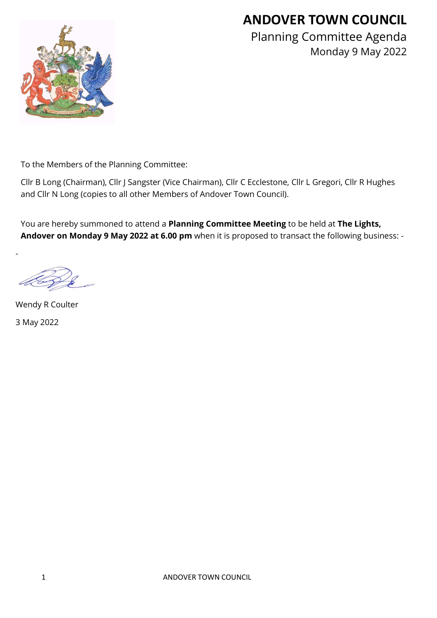## **ANDOVER TOWN COUNCIL**



Planning Committee Agenda Monday 9 May 2022

To the Members of the Planning Committee:

Cllr B Long (Chairman), Cllr J Sangster (Vice Chairman), Cllr C Ecclestone, Cllr L Gregori, Cllr R Hughes and Cllr N Long (copies to all other Members of Andover Town Council).

You are hereby summoned to attend a **Planning Committee Meeting** to be held at **The Lights, Andover on Monday 9 May 2022 at 6.00 pm** when it is proposed to transact the following business: -

Wendy R Coulter 3 May 2022

-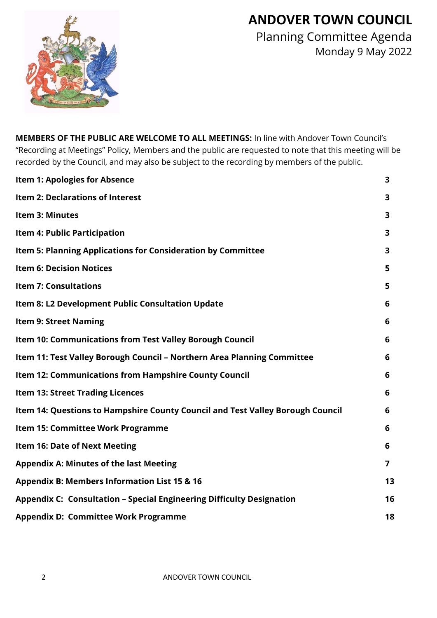## **ANDOVER TOWN COUNCIL**



Planning Committee Agenda Monday 9 May 2022

**MEMBERS OF THE PUBLIC ARE WELCOME TO ALL MEETINGS:** In line with Andover Town Council's "Recording at Meetings" Policy, Members and the public are requested to note that this meeting will be recorded by the Council, and may also be subject to the recording by members of the public.

| <b>Item 1: Apologies for Absence</b>                                           | 3                       |
|--------------------------------------------------------------------------------|-------------------------|
| Item 2: Declarations of Interest                                               | 3                       |
| <b>Item 3: Minutes</b>                                                         | $\overline{\mathbf{3}}$ |
| Item 4: Public Participation                                                   | 3                       |
| Item 5: Planning Applications for Consideration by Committee                   | 3                       |
| <b>Item 6: Decision Notices</b>                                                | 5                       |
| <b>Item 7: Consultations</b>                                                   | 5                       |
| Item 8: L2 Development Public Consultation Update                              | 6                       |
| <b>Item 9: Street Naming</b>                                                   | 6                       |
| Item 10: Communications from Test Valley Borough Council                       | 6                       |
| Item 11: Test Valley Borough Council - Northern Area Planning Committee        | 6                       |
| Item 12: Communications from Hampshire County Council                          | 6                       |
| <b>Item 13: Street Trading Licences</b>                                        | 6                       |
| Item 14: Questions to Hampshire County Council and Test Valley Borough Council | 6                       |
| Item 15: Committee Work Programme                                              | 6                       |
| <b>Item 16: Date of Next Meeting</b>                                           | 6                       |
| <b>Appendix A: Minutes of the last Meeting</b>                                 | $\overline{7}$          |
| <b>Appendix B: Members Information List 15 &amp; 16</b>                        | 13                      |
| <b>Appendix C: Consultation - Special Engineering Difficulty Designation</b>   | 16                      |
| <b>Appendix D: Committee Work Programme</b>                                    | 18                      |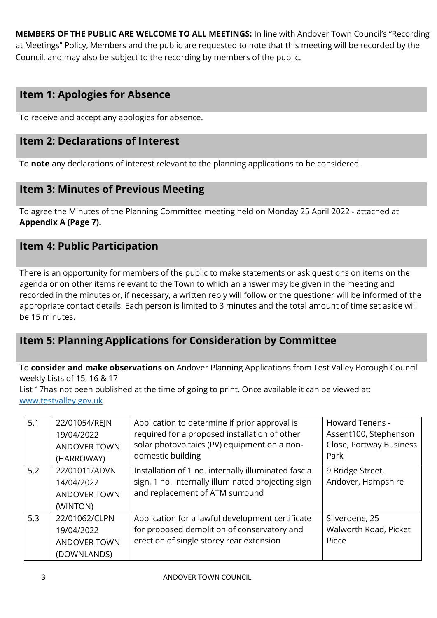**MEMBERS OF THE PUBLIC ARE WELCOME TO ALL MEETINGS:** In line with Andover Town Council's "Recording at Meetings" Policy, Members and the public are requested to note that this meeting will be recorded by the Council, and may also be subject to the recording by members of the public.

### **Item 1: Apologies for Absence**

To receive and accept any apologies for absence.

#### **Item 2: Declarations of Interest**

To **note** any declarations of interest relevant to the planning applications to be considered.

#### **Item 3: Minutes of Previous Meeting**

To agree the Minutes of the Planning Committee meeting held on Monday 25 April 2022 - attached at **Appendix A (Page 7).**

#### **Item 4: Public Participation**

There is an opportunity for members of the public to make statements or ask questions on items on the agenda or on other items relevant to the Town to which an answer may be given in the meeting and recorded in the minutes or, if necessary, a written reply will follow or the questioner will be informed of the appropriate contact details. Each person is limited to 3 minutes and the total amount of time set aside will be 15 minutes.

## **Item 5: Planning Applications for Consideration by Committee**

To **consider and make observations on** Andover Planning Applications from Test Valley Borough Council weekly Lists of 15, 16 & 17

List 17has not been published at the time of going to print. Once available it can be viewed at: [www.testvalley.gov.uk](http://www.testvalley.gov.uk/)

| 5.1 | 22/01054/REJN<br>19/04/2022<br><b>ANDOVER TOWN</b><br>(HARROWAY)  | Application to determine if prior approval is<br>required for a proposed installation of other<br>solar photovoltaics (PV) equipment on a non-<br>domestic building | Howard Tenens -<br>Assent100, Stephenson<br>Close, Portway Business<br>Park |
|-----|-------------------------------------------------------------------|---------------------------------------------------------------------------------------------------------------------------------------------------------------------|-----------------------------------------------------------------------------|
| 5.2 | 22/01011/ADVN<br>14/04/2022<br><b>ANDOVER TOWN</b><br>(WINTON)    | Installation of 1 no. internally illuminated fascia<br>sign, 1 no. internally illuminated projecting sign<br>and replacement of ATM surround                        | 9 Bridge Street,<br>Andover, Hampshire                                      |
| 5.3 | 22/01062/CLPN<br>19/04/2022<br><b>ANDOVER TOWN</b><br>(DOWNLANDS) | Application for a lawful development certificate<br>for proposed demolition of conservatory and<br>erection of single storey rear extension                         | Silverdene, 25<br>Walworth Road, Picket<br>Piece                            |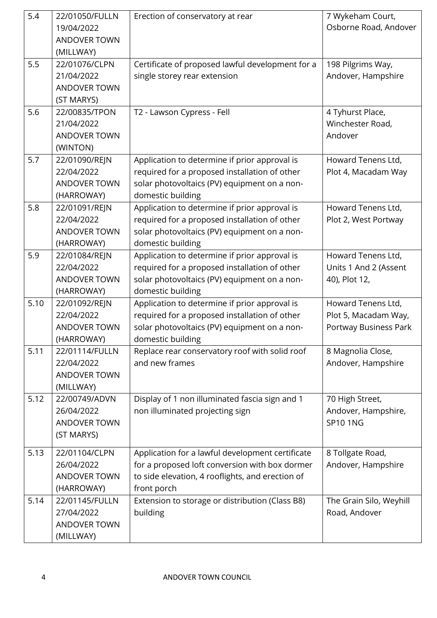| 5.4  | 22/01050/FULLN<br>19/04/2022<br><b>ANDOVER TOWN</b><br>(MILLWAY) | Erection of conservatory at rear                                                                                                                                      | 7 Wykeham Court,<br>Osborne Road, Andover                           |
|------|------------------------------------------------------------------|-----------------------------------------------------------------------------------------------------------------------------------------------------------------------|---------------------------------------------------------------------|
| 5.5  | 22/01076/CLPN<br>21/04/2022<br><b>ANDOVER TOWN</b><br>(ST MARYS) | Certificate of proposed lawful development for a<br>single storey rear extension                                                                                      | 198 Pilgrims Way,<br>Andover, Hampshire                             |
| 5.6  | 22/00835/TPON<br>21/04/2022<br><b>ANDOVER TOWN</b><br>(WINTON)   | T2 - Lawson Cypress - Fell                                                                                                                                            | 4 Tyhurst Place,<br>Winchester Road,<br>Andover                     |
| 5.7  | 22/01090/REJN<br>22/04/2022<br><b>ANDOVER TOWN</b><br>(HARROWAY) | Application to determine if prior approval is<br>required for a proposed installation of other<br>solar photovoltaics (PV) equipment on a non-<br>domestic building   | Howard Tenens Ltd,<br>Plot 4, Macadam Way                           |
| 5.8  | 22/01091/REJN<br>22/04/2022<br><b>ANDOVER TOWN</b><br>(HARROWAY) | Application to determine if prior approval is<br>required for a proposed installation of other<br>solar photovoltaics (PV) equipment on a non-<br>domestic building   | Howard Tenens Ltd,<br>Plot 2, West Portway                          |
| 5.9  | 22/01084/REJN<br>22/04/2022<br><b>ANDOVER TOWN</b><br>(HARROWAY) | Application to determine if prior approval is<br>required for a proposed installation of other<br>solar photovoltaics (PV) equipment on a non-<br>domestic building   | Howard Tenens Ltd,<br>Units 1 And 2 (Assent<br>40), Plot 12,        |
| 5.10 | 22/01092/REJN<br>22/04/2022<br><b>ANDOVER TOWN</b><br>(HARROWAY) | Application to determine if prior approval is<br>required for a proposed installation of other<br>solar photovoltaics (PV) equipment on a non-<br>domestic building   | Howard Tenens Ltd,<br>Plot 5, Macadam Way,<br>Portway Business Park |
| 5.11 | 22/01114/FULLN<br>22/04/2022<br><b>ANDOVER TOWN</b><br>(MILLWAY) | Replace rear conservatory roof with solid roof<br>and new frames                                                                                                      | 8 Magnolia Close,<br>Andover, Hampshire                             |
| 5.12 | 22/00749/ADVN<br>26/04/2022<br><b>ANDOVER TOWN</b><br>(ST MARYS) | Display of 1 non illuminated fascia sign and 1<br>non illuminated projecting sign                                                                                     | 70 High Street,<br>Andover, Hampshire,<br><b>SP101NG</b>            |
| 5.13 | 22/01104/CLPN<br>26/04/2022<br><b>ANDOVER TOWN</b><br>(HARROWAY) | Application for a lawful development certificate<br>for a proposed loft conversion with box dormer<br>to side elevation, 4 rooflights, and erection of<br>front porch | 8 Tollgate Road,<br>Andover, Hampshire                              |
| 5.14 | 22/01145/FULLN<br>27/04/2022<br><b>ANDOVER TOWN</b><br>(MILLWAY) | Extension to storage or distribution (Class B8)<br>building                                                                                                           | The Grain Silo, Weyhill<br>Road, Andover                            |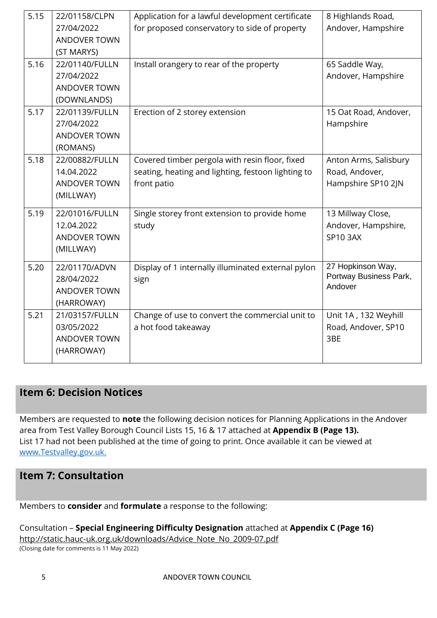| 5.15 | 22/01158/CLPN       | Application for a lawful development certificate   | 8 Highlands Road,                           |
|------|---------------------|----------------------------------------------------|---------------------------------------------|
|      | 27/04/2022          | for proposed conservatory to side of property      | Andover, Hampshire                          |
|      | ANDOVER TOWN        |                                                    |                                             |
|      | (ST MARYS)          |                                                    |                                             |
| 5.16 | 22/01140/FULLN      | Install orangery to rear of the property           | 65 Saddle Way,                              |
|      | 27/04/2022          |                                                    | Andover, Hampshire                          |
|      | <b>ANDOVER TOWN</b> |                                                    |                                             |
|      | (DOWNLANDS)         |                                                    |                                             |
| 5.17 | 22/01139/FULLN      | Erection of 2 storey extension                     | 15 Oat Road, Andover,                       |
|      | 27/04/2022          |                                                    | Hampshire                                   |
|      | <b>ANDOVER TOWN</b> |                                                    |                                             |
|      | (ROMANS)            |                                                    |                                             |
| 5.18 | 22/00882/FULLN      | Covered timber pergola with resin floor, fixed     | Anton Arms, Salisbury                       |
|      | 14.04.2022          | seating, heating and lighting, festoon lighting to | Road, Andover,                              |
|      | ANDOVER TOWN        | front patio                                        | Hampshire SP10 2JN                          |
|      | (MILLWAY)           |                                                    |                                             |
| 5.19 | 22/01016/FULLN      | Single storey front extension to provide home      | 13 Millway Close,                           |
|      | 12.04.2022          | study                                              | Andover, Hampshire,                         |
|      | ANDOVER TOWN        |                                                    | <b>SP10 3AX</b>                             |
|      | (MILLWAY)           |                                                    |                                             |
|      |                     |                                                    |                                             |
| 5.20 | 22/01170/ADVN       | Display of 1 internally illuminated external pylon | 27 Hopkinson Way,<br>Portway Business Park, |
|      | 28/04/2022          | sign                                               | Andover                                     |
|      | <b>ANDOVER TOWN</b> |                                                    |                                             |
|      | (HARROWAY)          |                                                    |                                             |
| 5.21 | 21/03157/FULLN      | Change of use to convert the commercial unit to    | Unit 1A, 132 Weyhill                        |
|      | 03/05/2022          | a hot food takeaway                                | Road, Andover, SP10                         |
|      | <b>ANDOVER TOWN</b> |                                                    | 3BE                                         |
|      | (HARROWAY)          |                                                    |                                             |
|      |                     |                                                    |                                             |

## **Item 6: Decision Notices**

Members are requested to **note** the following decision notices for Planning Applications in the Andover area from Test Valley Borough Council Lists 15, 16 & 17 attached at **Appendix B (Page 13).**  List 17 had not been published at the time of going to print. Once available it can be viewed at [www.Testvalley.gov.uk.](http://www.testvalley.gov.uk/)

## **Item 7: Consultation**

Members to **consider** and **formulate** a response to the following:

Consultation – **Special Engineering Difficulty Designation** attached at **Appendix C (Page 16)** [http://static.hauc-uk.org.uk/downloads/Advice\\_Note\\_No\\_2009-07.pdf](https://protect-eu.mimecast.com/s/F-fHCkwMYukolC2SOUO?domain=static.hauc-uk.org.uk) (Closing date for comments is 11 May 2022)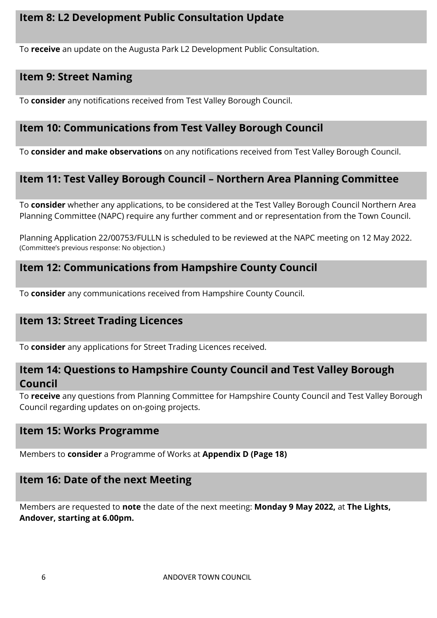## **Item 8: L2 Development Public Consultation Update**

To **receive** an update on the Augusta Park L2 Development Public Consultation.

## **Item 9: Street Naming**

To **consider** any notifications received from Test Valley Borough Council.

#### **Item 10: Communications from Test Valley Borough Council**

To **consider and make observations** on any notifications received from Test Valley Borough Council.

#### **Item 11: Test Valley Borough Council – Northern Area Planning Committee**

To **consider** whether any applications, to be considered at the Test Valley Borough Council Northern Area Planning Committee (NAPC) require any further comment and or representation from the Town Council.

Planning Application 22/00753/FULLN is scheduled to be reviewed at the NAPC meeting on 12 May 2022. (Committee's previous response: No objection.)

#### **Item 12: Communications from Hampshire County Council**

To **consider** any communications received from Hampshire County Council.

#### **Item 13: Street Trading Licences**

To **consider** any applications for Street Trading Licences received.

#### **Item 14: Questions to Hampshire County Council and Test Valley Borough Council**

To **receive** any questions from Planning Committee for Hampshire County Council and Test Valley Borough Council regarding updates on on-going projects.

#### **Item 15: Works Programme**

Members to **consider** a Programme of Works at **Appendix D (Page 18)**

#### **Item 16: Date of the next Meeting**

Members are requested to **note** the date of the next meeting: **Monday 9 May 2022,** at **The Lights, Andover, starting at 6.00pm.**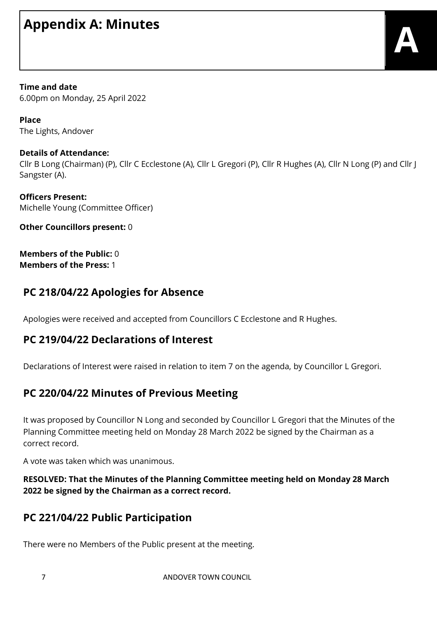## **Appendix A: Minutes**

**Time and date** 6.00pm on Monday, 25 April 2022

**Place** The Lights, Andover

#### **Details of Attendance:**

Cllr B Long (Chairman) (P), Cllr C Ecclestone (A), Cllr L Gregori (P), Cllr R Hughes (A), Cllr N Long (P) and Cllr J Sangster (A).

**Officers Present:** Michelle Young (Committee Officer)

**Other Councillors present:** 0

**Members of the Public:** 0 **Members of the Press:** 1

## **PC 218/04/22 Apologies for Absence**

Apologies were received and accepted from Councillors C Ecclestone and R Hughes.

## **PC 219/04/22 Declarations of Interest**

Declarations of Interest were raised in relation to item 7 on the agenda, by Councillor L Gregori.

## **PC 220/04/22 Minutes of Previous Meeting**

It was proposed by Councillor N Long and seconded by Councillor L Gregori that the Minutes of the Planning Committee meeting held on Monday 28 March 2022 be signed by the Chairman as a correct record.

A vote was taken which was unanimous.

**RESOLVED: That the Minutes of the Planning Committee meeting held on Monday 28 March 2022 be signed by the Chairman as a correct record.**

## **PC 221/04/22 Public Participation**

There were no Members of the Public present at the meeting.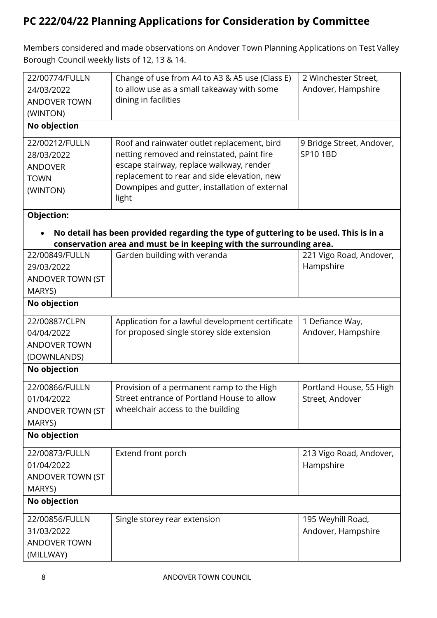## **PC 222/04/22 Planning Applications for Consideration by Committee**

Members considered and made observations on Andover Town Planning Applications on Test Valley Borough Council weekly lists of 12, 13 & 14.

| 22/00774/FULLN      | Change of use from A4 to A3 & A5 use (Class E)                                                                                                              | 2 Winchester Street,      |
|---------------------|-------------------------------------------------------------------------------------------------------------------------------------------------------------|---------------------------|
| 24/03/2022          | to allow use as a small takeaway with some                                                                                                                  | Andover, Hampshire        |
| <b>ANDOVER TOWN</b> | dining in facilities                                                                                                                                        |                           |
| (WINTON)            |                                                                                                                                                             |                           |
| No objection        |                                                                                                                                                             |                           |
| 22/00212/FULLN      | Roof and rainwater outlet replacement, bird                                                                                                                 | 9 Bridge Street, Andover, |
| 28/03/2022          | netting removed and reinstated, paint fire                                                                                                                  | SP10 1BD                  |
| <b>ANDOVER</b>      | escape stairway, replace walkway, render                                                                                                                    |                           |
| <b>TOWN</b>         | replacement to rear and side elevation, new                                                                                                                 |                           |
| (WINTON)            | Downpipes and gutter, installation of external<br>light                                                                                                     |                           |
| Objection:          |                                                                                                                                                             |                           |
|                     | No detail has been provided regarding the type of guttering to be used. This is in a<br>conservation area and must be in keeping with the surrounding area. |                           |
| 22/00849/FULLN      | Garden building with veranda                                                                                                                                | 221 Vigo Road, Andover,   |
| 29/03/2022          |                                                                                                                                                             | Hampshire                 |
| ANDOVER TOWN (ST    |                                                                                                                                                             |                           |
| MARYS)              |                                                                                                                                                             |                           |
| No objection        |                                                                                                                                                             |                           |
| 22/00887/CLPN       | Application for a lawful development certificate                                                                                                            | 1 Defiance Way,           |
| 04/04/2022          | for proposed single storey side extension                                                                                                                   | Andover, Hampshire        |
| <b>ANDOVER TOWN</b> |                                                                                                                                                             |                           |
| (DOWNLANDS)         |                                                                                                                                                             |                           |
| No objection        |                                                                                                                                                             |                           |
| 22/00866/FULLN      | Provision of a permanent ramp to the High                                                                                                                   | Portland House, 55 High   |
| 01/04/2022          | Street entrance of Portland House to allow                                                                                                                  | Street, Andover           |
| ANDOVER TOWN (ST    | wheelchair access to the building                                                                                                                           |                           |
| MARYS)              |                                                                                                                                                             |                           |
| No objection        |                                                                                                                                                             |                           |
| 22/00873/FULLN      | Extend front porch                                                                                                                                          | 213 Vigo Road, Andover,   |
| 01/04/2022          |                                                                                                                                                             | Hampshire                 |
| ANDOVER TOWN (ST    |                                                                                                                                                             |                           |
| MARYS)              |                                                                                                                                                             |                           |
| No objection        |                                                                                                                                                             |                           |
| 22/00856/FULLN      | Single storey rear extension                                                                                                                                | 195 Weyhill Road,         |
| 31/03/2022          |                                                                                                                                                             | Andover, Hampshire        |
| <b>ANDOVER TOWN</b> |                                                                                                                                                             |                           |
| (MILLWAY)           |                                                                                                                                                             |                           |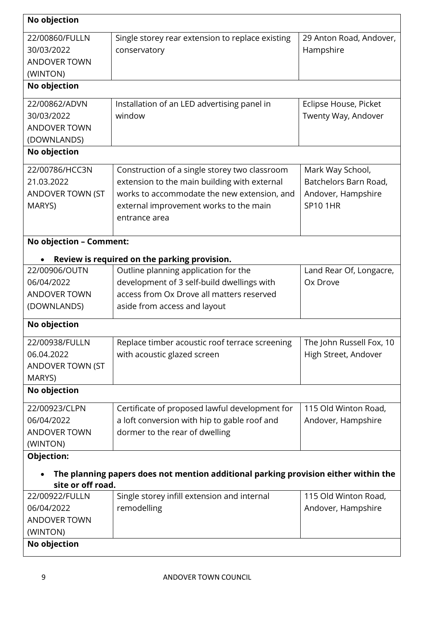| No objection                                                                    |                                                                                                                                                                                                         |                                                                                    |
|---------------------------------------------------------------------------------|---------------------------------------------------------------------------------------------------------------------------------------------------------------------------------------------------------|------------------------------------------------------------------------------------|
| 22/00860/FULLN<br>30/03/2022<br><b>ANDOVER TOWN</b><br>(WINTON)                 | Single storey rear extension to replace existing<br>conservatory                                                                                                                                        | 29 Anton Road, Andover,<br>Hampshire                                               |
| No objection                                                                    |                                                                                                                                                                                                         |                                                                                    |
| 22/00862/ADVN<br>30/03/2022<br><b>ANDOVER TOWN</b><br>(DOWNLANDS)               | Installation of an LED advertising panel in<br>window                                                                                                                                                   | Eclipse House, Picket<br>Twenty Way, Andover                                       |
| No objection                                                                    |                                                                                                                                                                                                         |                                                                                    |
| 22/00786/HCC3N<br>21.03.2022<br>ANDOVER TOWN (ST<br>MARYS)                      | Construction of a single storey two classroom<br>extension to the main building with external<br>works to accommodate the new extension, and<br>external improvement works to the main<br>entrance area | Mark Way School,<br>Batchelors Barn Road,<br>Andover, Hampshire<br><b>SP10 1HR</b> |
| No objection - Comment:                                                         |                                                                                                                                                                                                         |                                                                                    |
|                                                                                 | Review is required on the parking provision.                                                                                                                                                            |                                                                                    |
| 22/00906/OUTN<br>06/04/2022<br><b>ANDOVER TOWN</b><br>(DOWNLANDS)               | Outline planning application for the<br>development of 3 self-build dwellings with<br>access from Ox Drove all matters reserved<br>aside from access and layout                                         | Land Rear Of, Longacre,<br>Ox Drove                                                |
| No objection                                                                    |                                                                                                                                                                                                         |                                                                                    |
| 22/00938/FULLN<br>06.04.2022<br>ANDOVER TOWN (ST<br>MARYS)                      | Replace timber acoustic roof terrace screening<br>with acoustic glazed screen                                                                                                                           | The John Russell Fox, 10<br>High Street, Andover                                   |
| No objection                                                                    |                                                                                                                                                                                                         |                                                                                    |
| 22/00923/CLPN<br>06/04/2022<br><b>ANDOVER TOWN</b><br>(WINTON)                  | Certificate of proposed lawful development for<br>a loft conversion with hip to gable roof and<br>dormer to the rear of dwelling                                                                        | 115 Old Winton Road,<br>Andover, Hampshire                                         |
| Objection:                                                                      |                                                                                                                                                                                                         |                                                                                    |
| site or off road.                                                               | The planning papers does not mention additional parking provision either within the                                                                                                                     |                                                                                    |
| 22/00922/FULLN<br>06/04/2022<br><b>ANDOVER TOWN</b><br>(WINTON)<br>No objection | Single storey infill extension and internal<br>remodelling                                                                                                                                              | 115 Old Winton Road,<br>Andover, Hampshire                                         |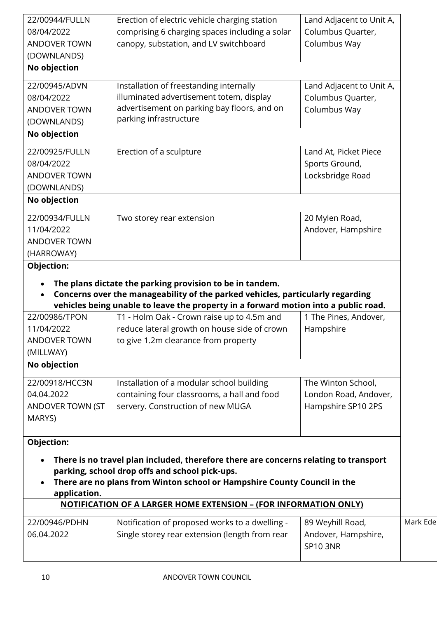| MARYS)<br>Objection:<br>application.<br>22/00946/PDHN<br>06.04.2022 | There is no travel plan included, therefore there are concerns relating to transport<br>parking, school drop offs and school pick-ups.<br>There are no plans from Winton school or Hampshire County Council in the<br><b>NOTIFICATION OF A LARGER HOME EXTENSION - (FOR INFORMATION ONLY)</b><br>Notification of proposed works to a dwelling -<br>Single storey rear extension (length from rear | 89 Weyhill Road,<br>Andover, Hampshire,<br><b>SP10 3NR</b> | Mark Ede |
|---------------------------------------------------------------------|---------------------------------------------------------------------------------------------------------------------------------------------------------------------------------------------------------------------------------------------------------------------------------------------------------------------------------------------------------------------------------------------------|------------------------------------------------------------|----------|
|                                                                     |                                                                                                                                                                                                                                                                                                                                                                                                   |                                                            |          |
|                                                                     |                                                                                                                                                                                                                                                                                                                                                                                                   |                                                            |          |
|                                                                     |                                                                                                                                                                                                                                                                                                                                                                                                   |                                                            |          |
|                                                                     |                                                                                                                                                                                                                                                                                                                                                                                                   |                                                            |          |
|                                                                     |                                                                                                                                                                                                                                                                                                                                                                                                   |                                                            |          |
|                                                                     |                                                                                                                                                                                                                                                                                                                                                                                                   |                                                            |          |
| ANDOVER TOWN (ST                                                    | servery. Construction of new MUGA                                                                                                                                                                                                                                                                                                                                                                 | Hampshire SP10 2PS                                         |          |
| 04.04.2022                                                          | containing four classrooms, a hall and food                                                                                                                                                                                                                                                                                                                                                       | London Road, Andover,                                      |          |
| 22/00918/HCC3N                                                      | Installation of a modular school building                                                                                                                                                                                                                                                                                                                                                         | The Winton School,                                         |          |
| (MILLWAY)<br>No objection                                           |                                                                                                                                                                                                                                                                                                                                                                                                   |                                                            |          |
| <b>ANDOVER TOWN</b>                                                 | to give 1.2m clearance from property                                                                                                                                                                                                                                                                                                                                                              |                                                            |          |
| 11/04/2022                                                          | reduce lateral growth on house side of crown                                                                                                                                                                                                                                                                                                                                                      | Hampshire                                                  |          |
| 22/00986/TPON                                                       | T1 - Holm Oak - Crown raise up to 4.5m and                                                                                                                                                                                                                                                                                                                                                        | 1 The Pines, Andover,                                      |          |
| Objection:<br>$\bullet$                                             | The plans dictate the parking provision to be in tandem.<br>Concerns over the manageability of the parked vehicles, particularly regarding<br>vehicles being unable to leave the property in a forward motion into a public road.                                                                                                                                                                 |                                                            |          |
| (HARROWAY)                                                          |                                                                                                                                                                                                                                                                                                                                                                                                   |                                                            |          |
| <b>ANDOVER TOWN</b>                                                 |                                                                                                                                                                                                                                                                                                                                                                                                   |                                                            |          |
| 11/04/2022                                                          |                                                                                                                                                                                                                                                                                                                                                                                                   | Andover, Hampshire                                         |          |
| 22/00934/FULLN                                                      | Two storey rear extension                                                                                                                                                                                                                                                                                                                                                                         | 20 Mylen Road,                                             |          |
| No objection                                                        |                                                                                                                                                                                                                                                                                                                                                                                                   |                                                            |          |
| (DOWNLANDS)                                                         |                                                                                                                                                                                                                                                                                                                                                                                                   |                                                            |          |
| <b>ANDOVER TOWN</b>                                                 |                                                                                                                                                                                                                                                                                                                                                                                                   | Locksbridge Road                                           |          |
| 08/04/2022                                                          |                                                                                                                                                                                                                                                                                                                                                                                                   | Sports Ground,                                             |          |
| 22/00925/FULLN                                                      | Erection of a sculpture                                                                                                                                                                                                                                                                                                                                                                           | Land At, Picket Piece                                      |          |
| No objection                                                        |                                                                                                                                                                                                                                                                                                                                                                                                   |                                                            |          |
| (DOWNLANDS)                                                         | parking infrastructure                                                                                                                                                                                                                                                                                                                                                                            |                                                            |          |
| <b>ANDOVER TOWN</b>                                                 | advertisement on parking bay floors, and on                                                                                                                                                                                                                                                                                                                                                       | Columbus Way                                               |          |
| 08/04/2022                                                          | illuminated advertisement totem, display                                                                                                                                                                                                                                                                                                                                                          | Columbus Quarter,                                          |          |
| 22/00945/ADVN                                                       | Installation of freestanding internally                                                                                                                                                                                                                                                                                                                                                           | Land Adjacent to Unit A,                                   |          |
| (DOWNLANDS)<br>No objection                                         |                                                                                                                                                                                                                                                                                                                                                                                                   |                                                            |          |
| <b>ANDOVER TOWN</b>                                                 | canopy, substation, and LV switchboard                                                                                                                                                                                                                                                                                                                                                            | Columbus Way                                               |          |
|                                                                     | comprising 6 charging spaces including a solar                                                                                                                                                                                                                                                                                                                                                    | Columbus Quarter,                                          |          |
|                                                                     | Erection of electric vehicle charging station                                                                                                                                                                                                                                                                                                                                                     | Land Adjacent to Unit A,                                   |          |
| 22/00944/FULLN<br>08/04/2022                                        |                                                                                                                                                                                                                                                                                                                                                                                                   |                                                            |          |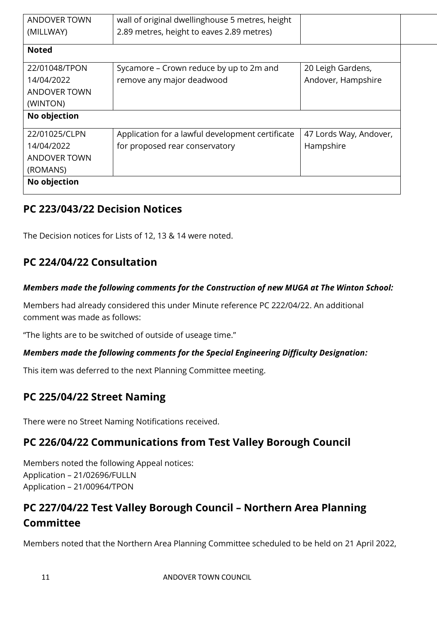| <b>ANDOVER TOWN</b> | wall of original dwellinghouse 5 metres, height  |                        |
|---------------------|--------------------------------------------------|------------------------|
| (MILLWAY)           | 2.89 metres, height to eaves 2.89 metres)        |                        |
| <b>Noted</b>        |                                                  |                        |
| 22/01048/TPON       | Sycamore – Crown reduce by up to 2m and          | 20 Leigh Gardens,      |
| 14/04/2022          | remove any major deadwood                        | Andover, Hampshire     |
| ANDOVER TOWN        |                                                  |                        |
| (WINTON)            |                                                  |                        |
| No objection        |                                                  |                        |
| 22/01025/CLPN       | Application for a lawful development certificate | 47 Lords Way, Andover, |
| 14/04/2022          | for proposed rear conservatory                   | Hampshire              |
| <b>ANDOVER TOWN</b> |                                                  |                        |
| (ROMANS)            |                                                  |                        |
| No objection        |                                                  |                        |

## **PC 223/043/22 Decision Notices**

The Decision notices for Lists of 12, 13 & 14 were noted.

## **PC 224/04/22 Consultation**

#### *Members made the following comments for the Construction of new MUGA at The Winton School:*

Members had already considered this under Minute reference PC 222/04/22. An additional comment was made as follows:

"The lights are to be switched of outside of useage time."

#### *Members made the following comments for the Special Engineering Difficulty Designation:*

This item was deferred to the next Planning Committee meeting.

## **PC 225/04/22 Street Naming**

There were no Street Naming Notifications received.

## **PC 226/04/22 Communications from Test Valley Borough Council**

Members noted the following Appeal notices: Application – 21/02696/FULLN Application – 21/00964/TPON

## **PC 227/04/22 Test Valley Borough Council – Northern Area Planning Committee**

Members noted that the Northern Area Planning Committee scheduled to be held on 21 April 2022,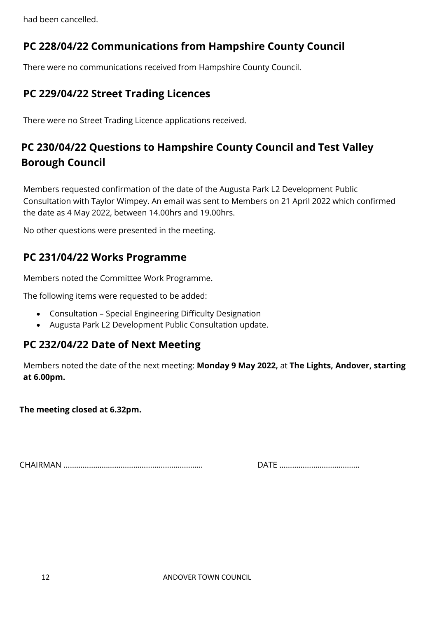had been cancelled.

## **PC 228/04/22 Communications from Hampshire County Council**

There were no communications received from Hampshire County Council.

## **PC 229/04/22 Street Trading Licences**

There were no Street Trading Licence applications received.

## **PC 230/04/22 Questions to Hampshire County Council and Test Valley Borough Council**

Members requested confirmation of the date of the Augusta Park L2 Development Public Consultation with Taylor Wimpey. An email was sent to Members on 21 April 2022 which confirmed the date as 4 May 2022, between 14.00hrs and 19.00hrs.

No other questions were presented in the meeting.

## **PC 231/04/22 Works Programme**

Members noted the Committee Work Programme.

The following items were requested to be added:

- Consultation Special Engineering Difficulty Designation
- Augusta Park L2 Development Public Consultation update.

## **PC 232/04/22 Date of Next Meeting**

Members noted the date of the next meeting: **Monday 9 May 2022,** at **The Lights, Andover, starting at 6.00pm.**

**The meeting closed at 6.32pm.**

CHAIRMAN ………………………………………………………… DATE ………………………………..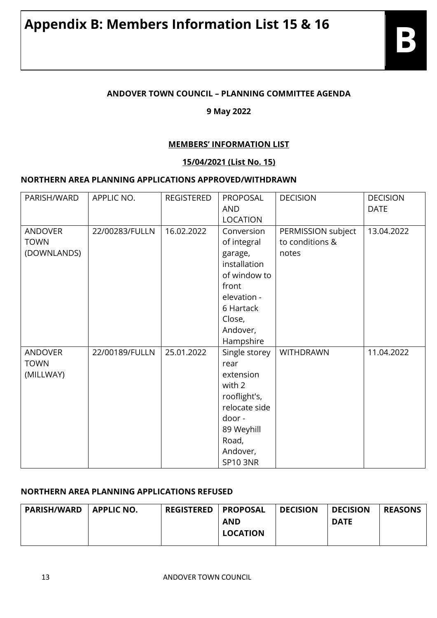#### **ANDOVER TOWN COUNCIL – PLANNING COMMITTEE AGENDA**

#### **9 May 2022**

#### **MEMBERS' INFORMATION LIST**

#### **15/04/2021 (List No. 15)**

#### **NORTHERN AREA PLANNING APPLICATIONS APPROVED/WITHDRAWN**

| PARISH/WARD                                  | APPLIC NO.     | <b>REGISTERED</b> | PROPOSAL<br><b>AND</b><br><b>LOCATION</b>                                                                                                    | <b>DECISION</b>                                | <b>DECISION</b><br><b>DATE</b> |
|----------------------------------------------|----------------|-------------------|----------------------------------------------------------------------------------------------------------------------------------------------|------------------------------------------------|--------------------------------|
| <b>ANDOVER</b><br><b>TOWN</b><br>(DOWNLANDS) | 22/00283/FULLN | 16.02.2022        | Conversion<br>of integral<br>garage,<br>installation<br>of window to<br>front<br>elevation -<br>6 Hartack<br>Close,<br>Andover,<br>Hampshire | PERMISSION subject<br>to conditions &<br>notes | 13.04.2022                     |
| <b>ANDOVER</b><br><b>TOWN</b><br>(MILLWAY)   | 22/00189/FULLN | 25.01.2022        | Single storey<br>rear<br>extension<br>with 2<br>rooflight's,<br>relocate side<br>door -<br>89 Weyhill<br>Road,<br>Andover,<br>SP10 3NR       | <b>WITHDRAWN</b>                               | 11.04.2022                     |

#### **NORTHERN AREA PLANNING APPLICATIONS REFUSED**

| <b>PARISH/WARD</b> | <b>APPLIC NO.</b> | <b>REGISTERED</b> | I PROPOSAL      | <b>DECISION</b> | <b>DECISION</b> | <b>REASONS</b> |
|--------------------|-------------------|-------------------|-----------------|-----------------|-----------------|----------------|
|                    |                   |                   | <b>AND</b>      |                 | <b>DATE</b>     |                |
|                    |                   |                   | <b>LOCATION</b> |                 |                 |                |
|                    |                   |                   |                 |                 |                 |                |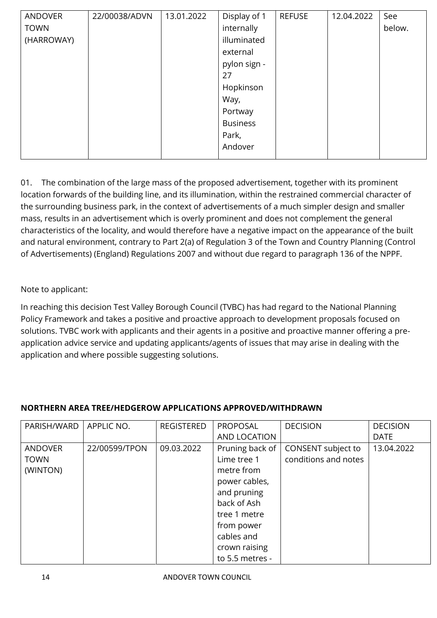| <b>ANDOVER</b> | 22/00038/ADVN | 13.01.2022 | Display of 1    | <b>REFUSE</b> | 12.04.2022 | See    |
|----------------|---------------|------------|-----------------|---------------|------------|--------|
| <b>TOWN</b>    |               |            | internally      |               |            | below. |
| (HARROWAY)     |               |            | illuminated     |               |            |        |
|                |               |            | external        |               |            |        |
|                |               |            | pylon sign -    |               |            |        |
|                |               |            | 27              |               |            |        |
|                |               |            | Hopkinson       |               |            |        |
|                |               |            | Way,            |               |            |        |
|                |               |            | Portway         |               |            |        |
|                |               |            | <b>Business</b> |               |            |        |
|                |               |            | Park,           |               |            |        |
|                |               |            | Andover         |               |            |        |
|                |               |            |                 |               |            |        |

01. The combination of the large mass of the proposed advertisement, together with its prominent location forwards of the building line, and its illumination, within the restrained commercial character of the surrounding business park, in the context of advertisements of a much simpler design and smaller mass, results in an advertisement which is overly prominent and does not complement the general characteristics of the locality, and would therefore have a negative impact on the appearance of the built and natural environment, contrary to Part 2(a) of Regulation 3 of the Town and Country Planning (Control of Advertisements) (England) Regulations 2007 and without due regard to paragraph 136 of the NPPF.

#### Note to applicant:

In reaching this decision Test Valley Borough Council (TVBC) has had regard to the National Planning Policy Framework and takes a positive and proactive approach to development proposals focused on solutions. TVBC work with applicants and their agents in a positive and proactive manner offering a preapplication advice service and updating applicants/agents of issues that may arise in dealing with the application and where possible suggesting solutions.

#### **NORTHERN AREA TREE/HEDGEROW APPLICATIONS APPROVED/WITHDRAWN**

| PARISH/WARD                               | APPLIC NO.    | <b>REGISTERED</b> | PROPOSAL<br>AND LOCATION                                                                                                                                                    | <b>DECISION</b>                            | <b>DECISION</b><br><b>DATE</b> |
|-------------------------------------------|---------------|-------------------|-----------------------------------------------------------------------------------------------------------------------------------------------------------------------------|--------------------------------------------|--------------------------------|
| <b>ANDOVER</b><br><b>TOWN</b><br>(WINTON) | 22/00599/TPON | 09.03.2022        | Pruning back of<br>Lime tree 1<br>metre from<br>power cables,<br>and pruning<br>back of Ash<br>tree 1 metre<br>from power<br>cables and<br>crown raising<br>to 5.5 metres - | CONSENT subject to<br>conditions and notes | 13.04.2022                     |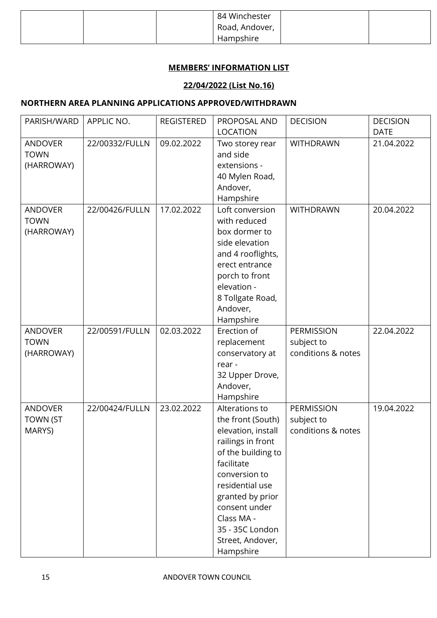|  | 84 Winchester  |  |
|--|----------------|--|
|  | Road, Andover, |  |
|  | Hampshire      |  |

#### **MEMBERS' INFORMATION LIST**

#### **22/04/2022 (List No.16)**

#### **NORTHERN AREA PLANNING APPLICATIONS APPROVED/WITHDRAWN**

| PARISH/WARD     | APPLIC NO.     | <b>REGISTERED</b> | PROPOSAL AND       | <b>DECISION</b>    | <b>DECISION</b> |
|-----------------|----------------|-------------------|--------------------|--------------------|-----------------|
|                 |                |                   | <b>LOCATION</b>    |                    | <b>DATE</b>     |
| <b>ANDOVER</b>  | 22/00332/FULLN | 09.02.2022        | Two storey rear    | <b>WITHDRAWN</b>   | 21.04.2022      |
| <b>TOWN</b>     |                |                   | and side           |                    |                 |
| (HARROWAY)      |                |                   | extensions -       |                    |                 |
|                 |                |                   | 40 Mylen Road,     |                    |                 |
|                 |                |                   | Andover,           |                    |                 |
|                 |                |                   | Hampshire          |                    |                 |
| <b>ANDOVER</b>  | 22/00426/FULLN | 17.02.2022        | Loft conversion    | <b>WITHDRAWN</b>   | 20.04.2022      |
| <b>TOWN</b>     |                |                   | with reduced       |                    |                 |
| (HARROWAY)      |                |                   | box dormer to      |                    |                 |
|                 |                |                   | side elevation     |                    |                 |
|                 |                |                   | and 4 rooflights,  |                    |                 |
|                 |                |                   | erect entrance     |                    |                 |
|                 |                |                   | porch to front     |                    |                 |
|                 |                |                   | elevation -        |                    |                 |
|                 |                |                   | 8 Tollgate Road,   |                    |                 |
|                 |                |                   | Andover,           |                    |                 |
|                 |                |                   | Hampshire          |                    |                 |
| <b>ANDOVER</b>  | 22/00591/FULLN | 02.03.2022        | Erection of        | <b>PERMISSION</b>  | 22.04.2022      |
| <b>TOWN</b>     |                |                   | replacement        | subject to         |                 |
| (HARROWAY)      |                |                   | conservatory at    | conditions & notes |                 |
|                 |                |                   | rear -             |                    |                 |
|                 |                |                   | 32 Upper Drove,    |                    |                 |
|                 |                |                   | Andover,           |                    |                 |
|                 |                |                   | Hampshire          |                    |                 |
| <b>ANDOVER</b>  | 22/00424/FULLN | 23.02.2022        | Alterations to     | <b>PERMISSION</b>  | 19.04.2022      |
| <b>TOWN (ST</b> |                |                   | the front (South)  | subject to         |                 |
| MARYS)          |                |                   | elevation, install | conditions & notes |                 |
|                 |                |                   | railings in front  |                    |                 |
|                 |                |                   | of the building to |                    |                 |
|                 |                |                   | facilitate         |                    |                 |
|                 |                |                   | conversion to      |                    |                 |
|                 |                |                   | residential use    |                    |                 |
|                 |                |                   | granted by prior   |                    |                 |
|                 |                |                   | consent under      |                    |                 |
|                 |                |                   | Class MA -         |                    |                 |
|                 |                |                   | 35 - 35C London    |                    |                 |
|                 |                |                   | Street, Andover,   |                    |                 |
|                 |                |                   | Hampshire          |                    |                 |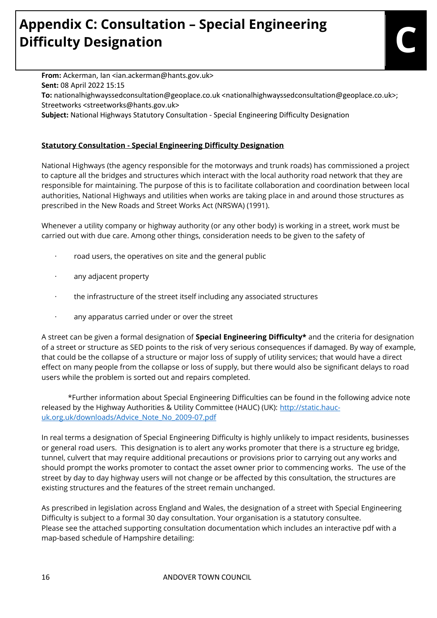# **Appendix C: Consultation – Special Engineering Difficulty Designation C**

From: Ackerman, Ian <ian.ackerman@hants.gov.uk> **Sent:** 08 April 2022 15:15 **To:** nationalhighwayssedconsultation@geoplace.co.uk <nationalhighwayssedconsultation@geoplace.co.uk>; Streetworks <streetworks@hants.gov.uk> **Subject:** National Highways Statutory Consultation - Special Engineering Difficulty Designation

#### **Statutory Consultation - Special Engineering Difficulty Designation**

National Highways (the agency responsible for the motorways and trunk roads) has commissioned a project to capture all the bridges and structures which interact with the local authority road network that they are responsible for maintaining. The purpose of this is to facilitate collaboration and coordination between local authorities, National Highways and utilities when works are taking place in and around those structures as prescribed in the New Roads and Street Works Act (NRSWA) (1991).

Whenever a utility company or highway authority (or any other body) is working in a street, work must be carried out with due care. Among other things, consideration needs to be given to the safety of

- · road users, the operatives on site and the general public
- any adjacent property
- the infrastructure of the street itself including any associated structures
- any apparatus carried under or over the street

A street can be given a formal designation of **Special Engineering Difficulty\*** and the criteria for designation of a street or structure as SED points to the risk of very serious consequences if damaged. By way of example, that could be the collapse of a structure or major loss of supply of utility services; that would have a direct effect on many people from the collapse or loss of supply, but there would also be significant delays to road users while the problem is sorted out and repairs completed.

\*Further information about Special Engineering Difficulties can be found in the following advice note released by the Highway Authorities & Utility Committee (HAUC) (UK): [http://static.hauc](https://protect-eu.mimecast.com/s/F-fHCkwMYukolC2SOUO?domain=static.hauc-uk.org.uk)[uk.org.uk/downloads/Advice\\_Note\\_No\\_2009-07.pdf](https://protect-eu.mimecast.com/s/F-fHCkwMYukolC2SOUO?domain=static.hauc-uk.org.uk) 

In real terms a designation of Special Engineering Difficulty is highly unlikely to impact residents, businesses or general road users. This designation is to alert any works promoter that there is a structure eg bridge, tunnel, culvert that may require additional precautions or provisions prior to carrying out any works and should prompt the works promoter to contact the asset owner prior to commencing works. The use of the street by day to day highway users will not change or be affected by this consultation, the structures are existing structures and the features of the street remain unchanged.

As prescribed in legislation across England and Wales, the designation of a street with Special Engineering Difficulty is subject to a formal 30 day consultation. Your organisation is a statutory consultee. Please see the attached supporting consultation documentation which includes an interactive pdf with a map-based schedule of Hampshire detailing: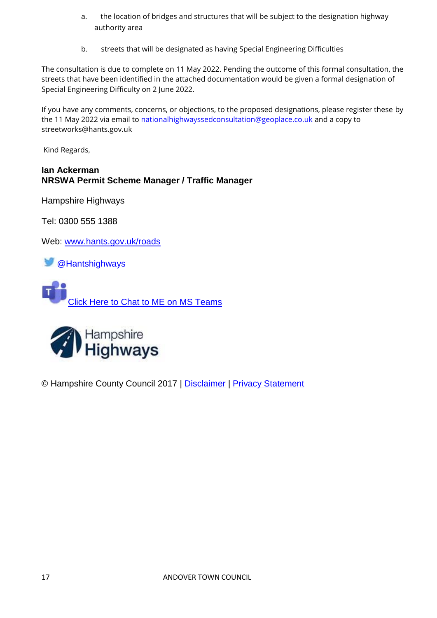- a. the location of bridges and structures that will be subject to the designation highway authority area
- b. streets that will be designated as having Special Engineering Difficulties

The consultation is due to complete on 11 May 2022. Pending the outcome of this formal consultation, the streets that have been identified in the attached documentation would be given a formal designation of Special Engineering Difficulty on 2 June 2022.

If you have any comments, concerns, or objections, to the proposed designations, please register these by the 11 May 2022 via email to [nationalhighwayssedconsultation@geoplace.co.uk](mailto:nationalhighwayssedconsultation@geoplace.co.uk) and a copy to streetworks@hants.gov.uk

Kind Regards,

#### **Ian Ackerman NRSWA Permit Scheme Manager / Traffic Manager**

Hampshire Highways

Tel: 0300 555 1388

Web: [www.hants.gov.uk/roads](https://protect-eu.mimecast.com/s/ZopeCm2X1FpkXcBpq37?domain=hants.gov.uk)

[@Hantshighways](https://protect-eu.mimecast.com/s/mrrSCnYJ2UXrwUZG0bS?domain=twitter.com)

[Click Here to Chat to ME on MS Teams](https://protect-eu.mimecast.com/s/gizgCrE7jhr4MtQDjMA?domain=teams.microsoft.com)



© Hampshire County Council 2017 | [Disclaimer](https://protect-eu.mimecast.com/s/8G8FCpRV4c9pkC2jHVw?domain=www3.hants.gov.uk) | [Privacy Statement](https://protect-eu.mimecast.com/s/XZ6WCqV8gu1JBCqYNLS?domain=www3.hants.gov.uk)